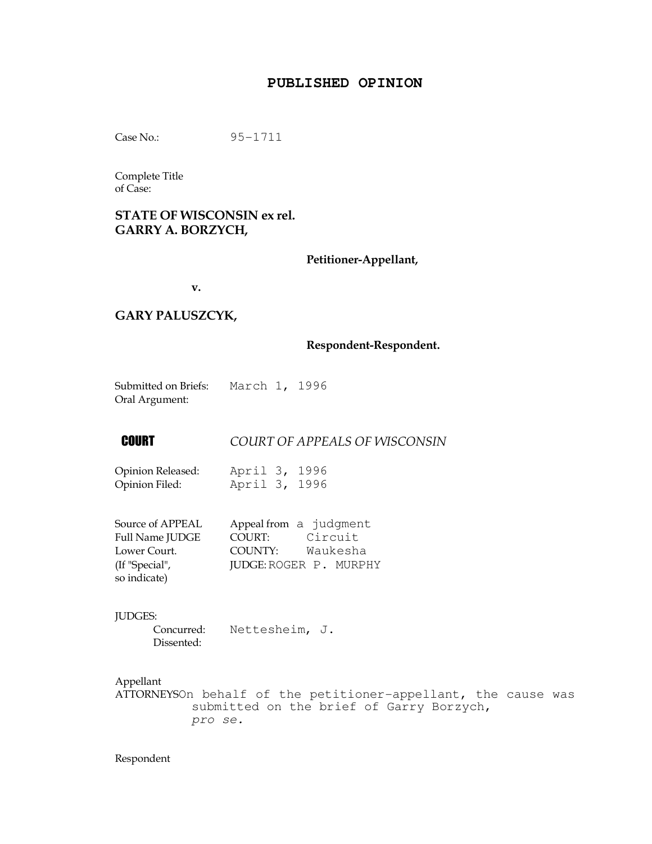#### **PUBLISHED OPINION**

Case No.: 95-1711

Complete Title of Case:

#### STATE OF WISCONSIN ex rel. GARRY A. BORZYCH,

Petitioner-Appellant,

v.

#### GARY PALUSZCYK,

#### Respondent-Respondent.

Submitted on Briefs: March 1, 1996 Oral Argument:

## **COURT COURT OF APPEALS OF WISCONSIN**

Opinion Released: April 3, 1996 Opinion Filed: April 3, 1996

| Source of APPEAL | Appeal from a judgment        |
|------------------|-------------------------------|
| Full Name JUDGE  | Circuit<br>COURT:             |
| Lower Court.     | Waukesha<br>COUNTY:           |
| (If "Special",   | <b>JUDGE: ROGER P. MURPHY</b> |
| so indicate)     |                               |

JUDGES:

 Concurred: Nettesheim, J. Dissented:

Appellant

ATTORNEYSOn behalf of the petitioner-appellant, the cause was submitted on the brief of Garry Borzych, pro se.

Respondent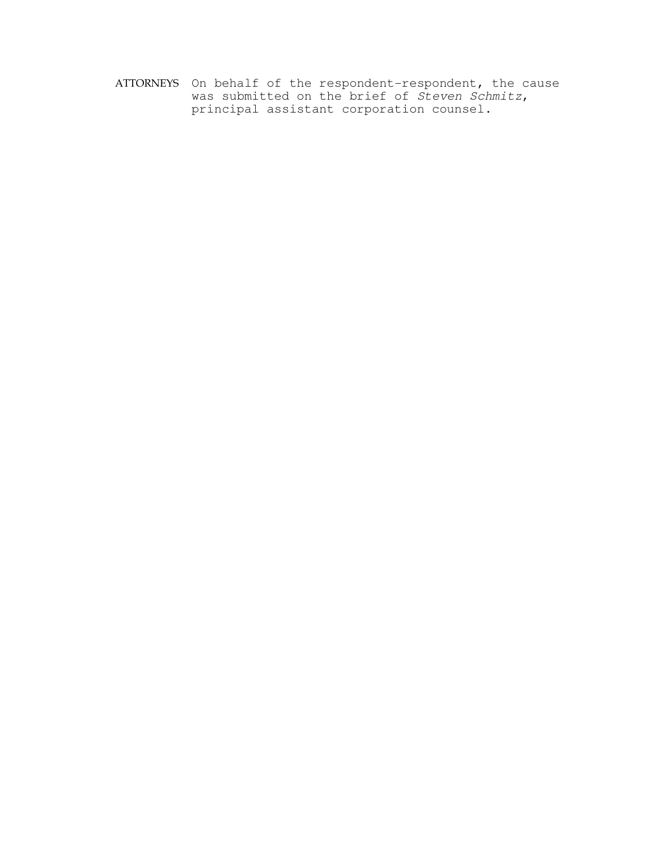ATTORNEYS On behalf of the respondent-respondent, the cause was submitted on the brief of Steven Schmitz, principal assistant corporation counsel.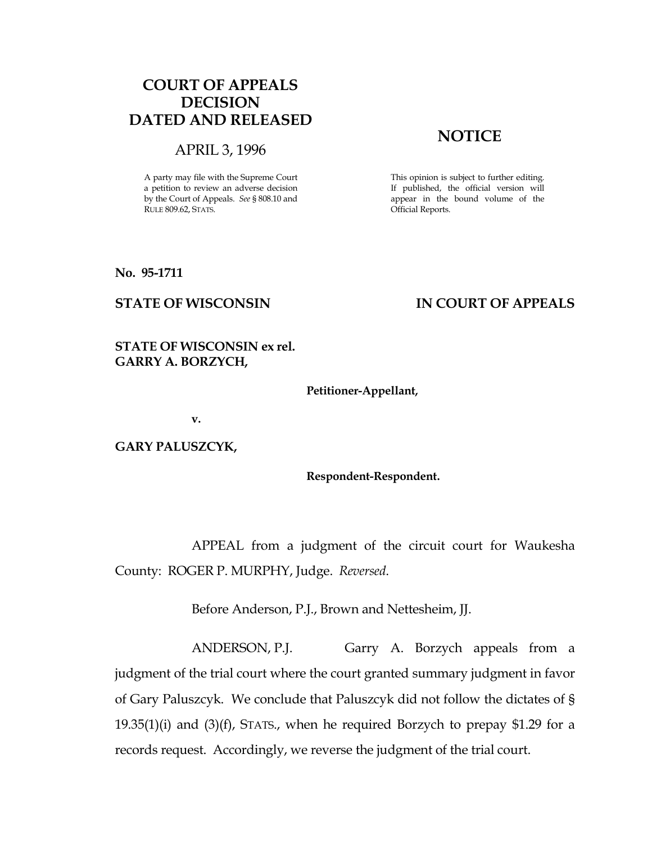# COURT OF APPEALS DECISION DATED AND RELEASED

#### APRIL 3, 1996

A party may file with the Supreme Court a petition to review an adverse decision by the Court of Appeals. See § 808.10 and RULE 809.62, STATS.

# **NOTICE**

This opinion is subject to further editing. If published, the official version will appear in the bound volume of the Official Reports.

No. 95-1711

## STATE OF WISCONSIN THE RESERVE TO THE STATE OF APPEALS

## STATE OF WISCONSIN ex rel. GARRY A. BORZYCH,

#### Petitioner-Appellant,

v.

GARY PALUSZCYK,

Respondent-Respondent.

 APPEAL from a judgment of the circuit court for Waukesha County: ROGER P. MURPHY, Judge. Reversed.

Before Anderson, P.J., Brown and Nettesheim, JJ.

 ANDERSON, P.J. Garry A. Borzych appeals from a judgment of the trial court where the court granted summary judgment in favor of Gary Paluszcyk. We conclude that Paluszcyk did not follow the dictates of § 19.35(1)(i) and (3)(f), STATS., when he required Borzych to prepay \$1.29 for a records request. Accordingly, we reverse the judgment of the trial court.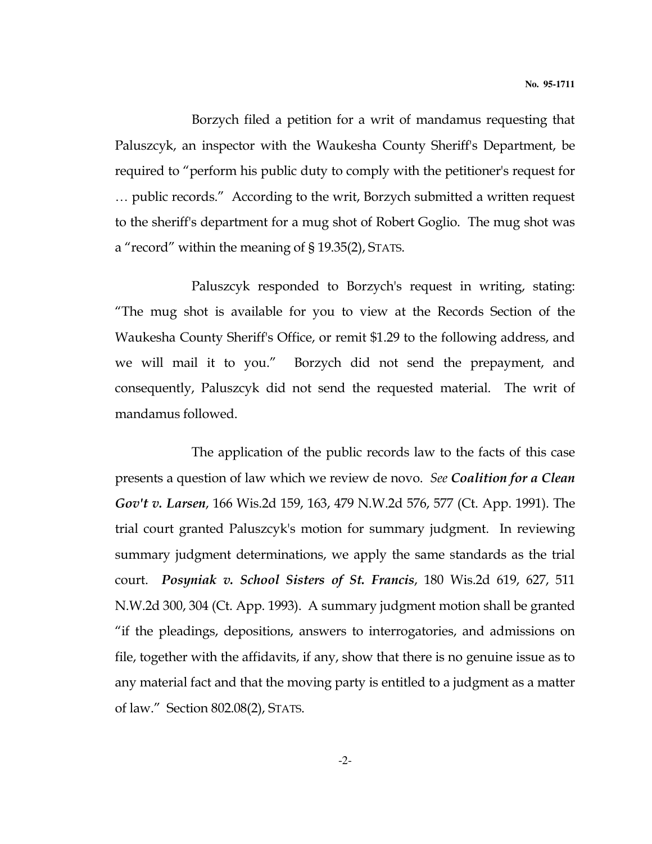Borzych filed a petition for a writ of mandamus requesting that Paluszcyk, an inspector with the Waukesha County Sheriff's Department, be required to "perform his public duty to comply with the petitioner's request for … public records." According to the writ, Borzych submitted a written request to the sheriff's department for a mug shot of Robert Goglio. The mug shot was a "record" within the meaning of § 19.35(2), STATS.

 Paluszcyk responded to Borzych's request in writing, stating: "The mug shot is available for you to view at the Records Section of the Waukesha County Sheriff's Office, or remit \$1.29 to the following address, and we will mail it to you." Borzych did not send the prepayment, and consequently, Paluszcyk did not send the requested material. The writ of mandamus followed.

 The application of the public records law to the facts of this case presents a question of law which we review de novo. See Coalition for a Clean Gov't v. Larsen, 166 Wis.2d 159, 163, 479 N.W.2d 576, 577 (Ct. App. 1991). The trial court granted Paluszcyk's motion for summary judgment. In reviewing summary judgment determinations, we apply the same standards as the trial court. Posyniak v. School Sisters of St. Francis, 180 Wis.2d 619, 627, 511 N.W.2d 300, 304 (Ct. App. 1993). A summary judgment motion shall be granted "if the pleadings, depositions, answers to interrogatories, and admissions on file, together with the affidavits, if any, show that there is no genuine issue as to any material fact and that the moving party is entitled to a judgment as a matter of law." Section 802.08(2), STATS.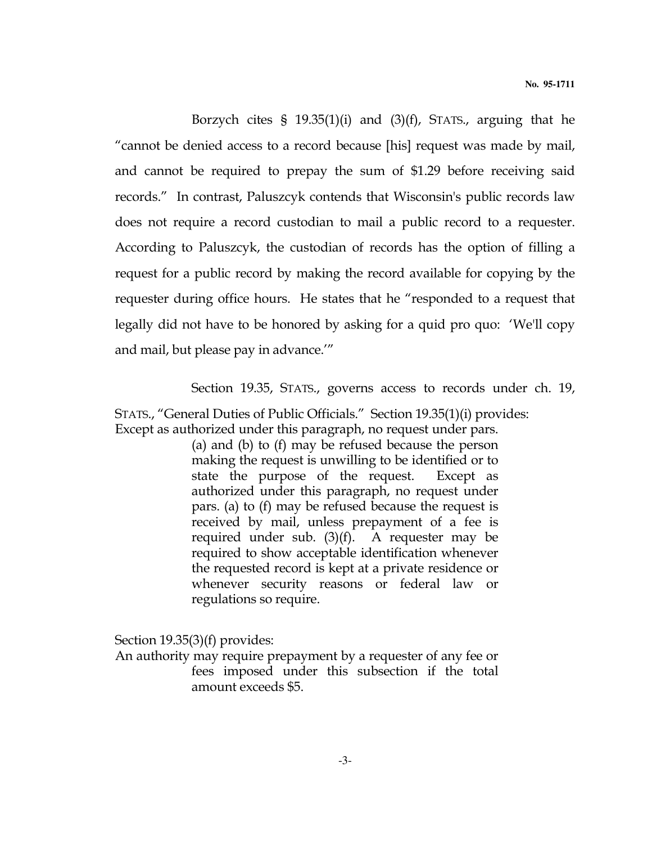Borzych cites §  $19.35(1)(i)$  and  $(3)(f)$ , STATS., arguing that he "cannot be denied access to a record because [his] request was made by mail, and cannot be required to prepay the sum of \$1.29 before receiving said records." In contrast, Paluszcyk contends that Wisconsin's public records law does not require a record custodian to mail a public record to a requester. According to Paluszcyk, the custodian of records has the option of filling a request for a public record by making the record available for copying by the requester during office hours. He states that he "responded to a request that legally did not have to be honored by asking for a quid pro quo: 'We'll copy and mail, but please pay in advance.'"

Section 19.35, STATS., governs access to records under ch. 19,

STATS., "General Duties of Public Officials." Section 19.35(1)(i) provides: Except as authorized under this paragraph, no request under pars.

> (a) and (b) to (f) may be refused because the person making the request is unwilling to be identified or to state the purpose of the request. Except as authorized under this paragraph, no request under pars. (a) to (f) may be refused because the request is received by mail, unless prepayment of a fee is required under sub. (3)(f). A requester may be required to show acceptable identification whenever the requested record is kept at a private residence or whenever security reasons or federal law or regulations so require.

Section 19.35(3)(f) provides:

An authority may require prepayment by a requester of any fee or fees imposed under this subsection if the total amount exceeds \$5.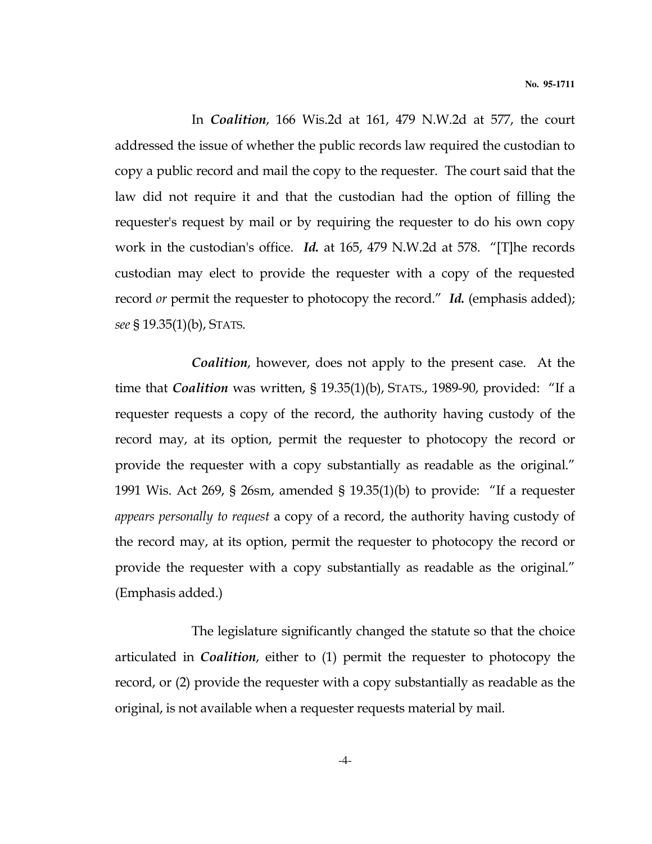In Coalition, 166 Wis.2d at 161, 479 N.W.2d at 577, the court addressed the issue of whether the public records law required the custodian to copy a public record and mail the copy to the requester. The court said that the law did not require it and that the custodian had the option of filling the requester's request by mail or by requiring the requester to do his own copy work in the custodian's office. Id. at 165, 479 N.W.2d at 578. "[T]he records custodian may elect to provide the requester with a copy of the requested record *or* permit the requester to photocopy the record." Id. (emphasis added); see § 19.35(1)(b), STATS.

 Coalition, however, does not apply to the present case. At the time that Coalition was written, § 19.35(1)(b), STATS., 1989-90, provided: "If a requester requests a copy of the record, the authority having custody of the record may, at its option, permit the requester to photocopy the record or provide the requester with a copy substantially as readable as the original." 1991 Wis. Act 269, § 26sm, amended § 19.35(1)(b) to provide: "If a requester appears personally to request a copy of a record, the authority having custody of the record may, at its option, permit the requester to photocopy the record or provide the requester with a copy substantially as readable as the original." (Emphasis added.)

 The legislature significantly changed the statute so that the choice articulated in Coalition, either to (1) permit the requester to photocopy the record, or (2) provide the requester with a copy substantially as readable as the original, is not available when a requester requests material by mail.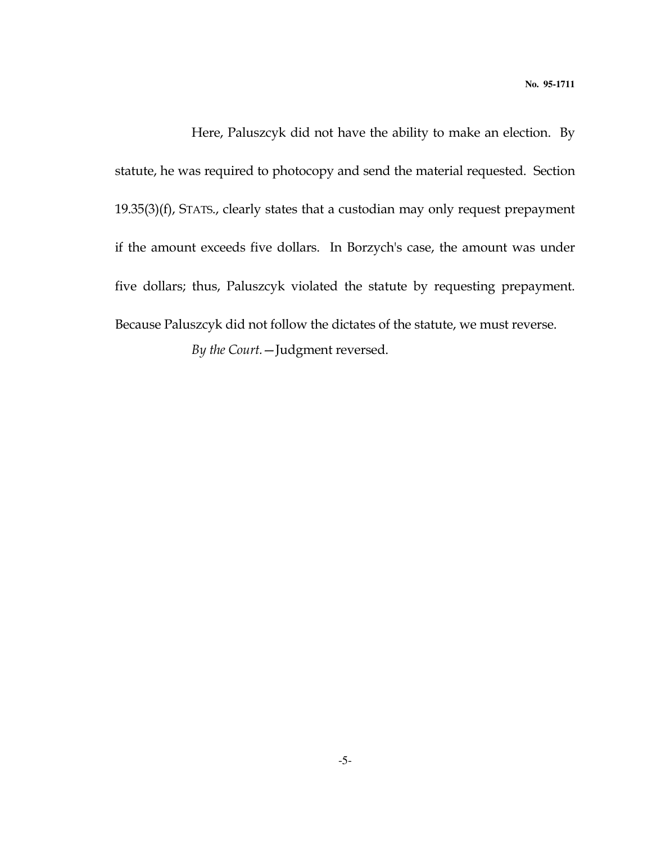Here, Paluszcyk did not have the ability to make an election. By statute, he was required to photocopy and send the material requested. Section 19.35(3)(f), STATS., clearly states that a custodian may only request prepayment if the amount exceeds five dollars. In Borzych's case, the amount was under five dollars; thus, Paluszcyk violated the statute by requesting prepayment. Because Paluszcyk did not follow the dictates of the statute, we must reverse. By the Court.—Judgment reversed.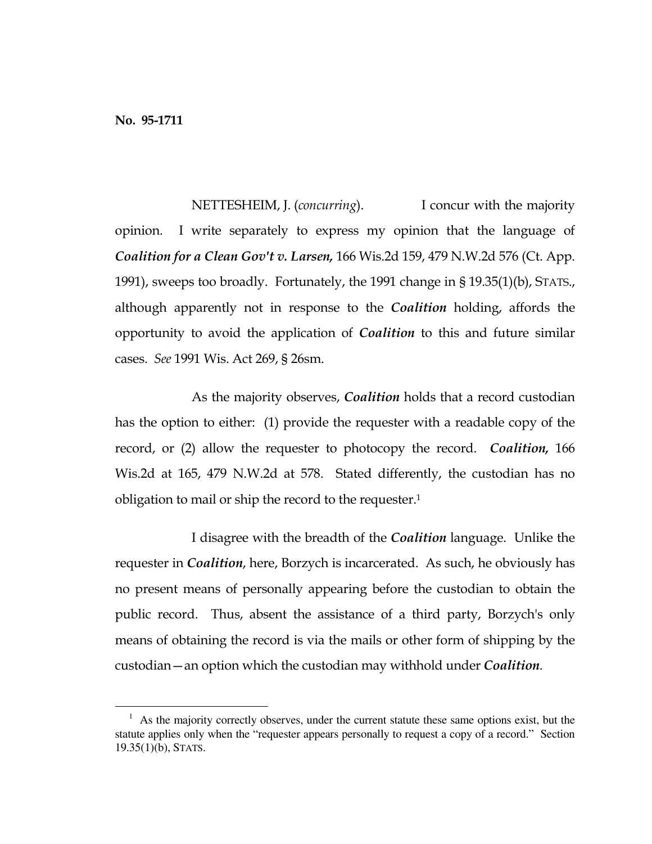e<br>S

NETTESHEIM, J. (*concurring*). I concur with the majority opinion. I write separately to express my opinion that the language of Coalition for a Clean Gov't v. Larsen, 166 Wis.2d 159, 479 N.W.2d 576 (Ct. App. 1991), sweeps too broadly. Fortunately, the 1991 change in § 19.35(1)(b), STATS., although apparently not in response to the *Coalition* holding, affords the opportunity to avoid the application of Coalition to this and future similar cases. See 1991 Wis. Act 269, § 26sm.

As the majority observes, *Coalition* holds that a record custodian has the option to either: (1) provide the requester with a readable copy of the record, or (2) allow the requester to photocopy the record. *Coalition*, 166 Wis.2d at 165, 479 N.W.2d at 578. Stated differently, the custodian has no obligation to mail or ship the record to the requester.<sup>1</sup>

I disagree with the breadth of the *Coalition* language. Unlike the requester in *Coalition*, here, Borzych is incarcerated. As such, he obviously has no present means of personally appearing before the custodian to obtain the public record. Thus, absent the assistance of a third party, Borzych's only means of obtaining the record is via the mails or other form of shipping by the custodian—an option which the custodian may withhold under Coalition.

 $<sup>1</sup>$  As the majority correctly observes, under the current statute these same options exist, but the</sup> statute applies only when the "requester appears personally to request a copy of a record." Section 19.35(1)(b), STATS.